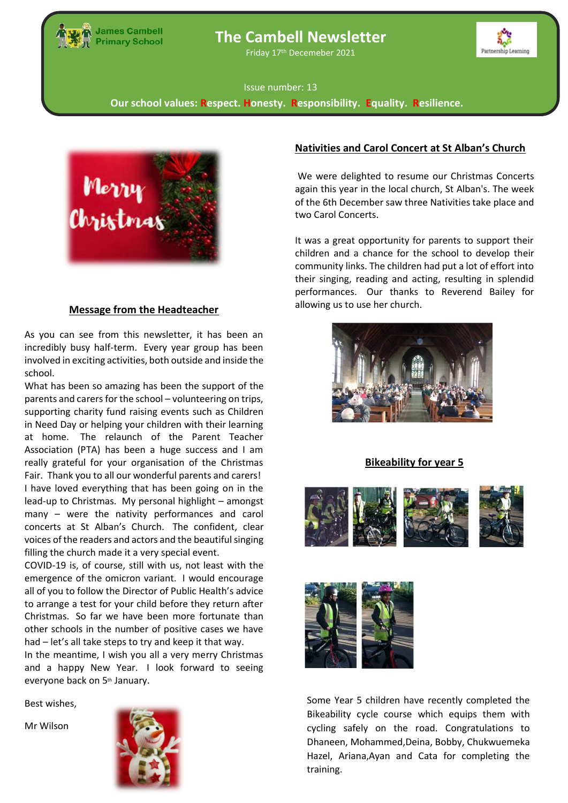

# **The Cambell Newsletter**

Friday 17th Decemeber 2021



#### Issue number: 13

**Our school values: Respect. Honesty. Responsibility. Equality. Resilience.**



#### <u>Hot Dinners and </u> **Message from the Headteacher**

As you can see from this newsletter, it has been an incredibly busy half-term. Every year group has been involved in exciting activities, both outside and inside the school.

act home. The Telesandrich of the Farence resolution (PTA) has been a huge success and I am Fair. Thank you to all our wonderful parents and carers! lead-up to Christmas. My personal highlight – amongst many – were the nativity performances and carol What has been so amazing has been the support of the parents and carers for the school – volunteering on trips, supporting charity fund raising events such as Children in Need Day or helping your children with their learning at home. The relaunch of the Parent Teacher really grateful for your organisation of the Christmas I have loved everything that has been going on in the concerts at St Alban's Church. The confident, clear voices of the readers and actors and the beautiful singing filling the church made it a very special event.

COVID-19 is, of course, still with us, not least with the emergence of the omicron variant. I would encourage all of you to follow the Director of Public Health's advice to arrange a test for your child before they return after Christmas. So far we have been more fortunate than other schools in the number of positive cases we have had – let's all take steps to try and keep it that way.

In the meantime, I wish you all a very merry Christmas and a happy New Year. I look forward to seeing everyone back on 5<sup>th</sup> January.

Best wishes,

Mr Wilson



# **Nativities and Carol Concert at St Alban's Church**

We were delighted to resume our Christmas Concerts again this year in the local church, St Alban's. The week of the 6th December saw three Nativities take place and two Carol Concerts.

It was a great opportunity for parents to support their children and a chance for the school to develop their community links. The children had put a lot of effort into their singing, reading and acting, resulting in splendid performances. Our thanks to Reverend Bailey for allowing us to use her church.



**Bikeability for year 5**





Some Year 5 children have recently completed the Bikeability cycle course which equips them with cycling safely on the road. Congratulations to Dhaneen, Mohammed,Deina, Bobby, Chukwuemeka Hazel, Ariana,Ayan and Cata for completing the training.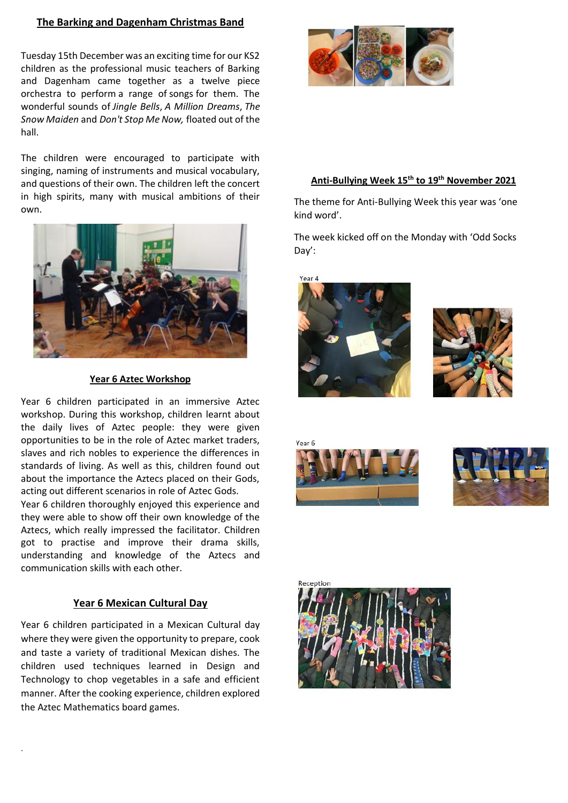# **The Barking and Dagenham Christmas Band**

Tuesday 15th December was an exciting time for our KS2 children as the professional music teachers of Barking and Dagenham came together as a twelve piece orchestra to perform a range of songs for them. The wonderful sounds of *Jingle Bells*, *A Million Dreams*, *The Snow Maiden* and *Don't Stop Me Now,*floated out of the hall.

The children were encouraged to participate with singing, naming of instruments and musical vocabulary, and questions of their own. The children left the concert in high spirits, many with musical ambitions of their own. 



#### **Year 6 Aztec Workshop**

Year 6 children participated in an immersive Aztec workshop. During this workshop, children learnt about the daily lives of Aztec people: they were given opportunities to be in the role of Aztec market traders, slaves and rich nobles to experience the differences in standards of living. As well as this, children found out about the importance the Aztecs placed on their Gods, acting out different scenarios in role of Aztec Gods.

Year 6 children thoroughly enjoyed this experience and they were able to show off their own knowledge of the Aztecs, which really impressed the facilitator. Children got to practise and improve their drama skills, understanding and knowledge of the Aztecs and communication skills with each other.

# **Year 6 Mexican Cultural Day**

Year 6 children participated in a Mexican Cultural day where they were given the opportunity to prepare, cook and taste a variety of traditional Mexican dishes. The children used techniques learned in Design and Technology to chop vegetables in a safe and efficient manner. After the cooking experience, children explored the Aztec Mathematics board games.

.



# **Anti-Bullying Week 15th to 19th November 2021**

The theme for Anti-Bullying Week this year was 'one kind word'.

The week kicked off on the Monday with 'Odd Socks Day':





Vear F



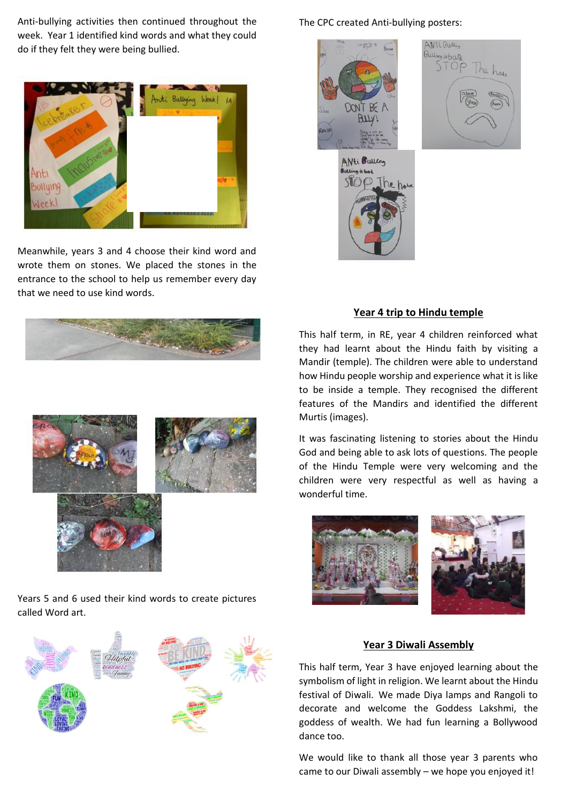Anti-bullying activities then continued throughout the week. Year 1 identified kind words and what they could do if they felt they were being bullied.



Meanwhile, years 3 and 4 choose their kind word and wrote them on stones. We placed the stones in the entrance to the school to help us remember every day that we need to use kind words.





Years 5 and 6 used their kind words to create pictures called Word art.



# The CPC created Anti-bullying posters:



### **Year 4 trip to Hindu temple**

This half term, in RE, year 4 children reinforced what they had learnt about the Hindu faith by visiting a Mandir (temple). The children were able to understand how Hindu people worship and experience what it is like to be inside a temple. They recognised the different features of the Mandirs and identified the different Murtis (images).

It was fascinating listening to stories about the Hindu God and being able to ask lots of questions. The people of the Hindu Temple were very welcoming and the children were very respectful as well as having a wonderful time.



### **Year 3 Diwali Assembly**

This half term, Year 3 have enjoyed learning about the symbolism of light in religion. We learnt about the Hindu festival of Diwali. We made Diya lamps and Rangoli to decorate and welcome the Goddess Lakshmi, the goddess of wealth. We had fun learning a Bollywood dance too.

We would like to thank all those year 3 parents who came to our Diwali assembly – we hope you enjoyed it!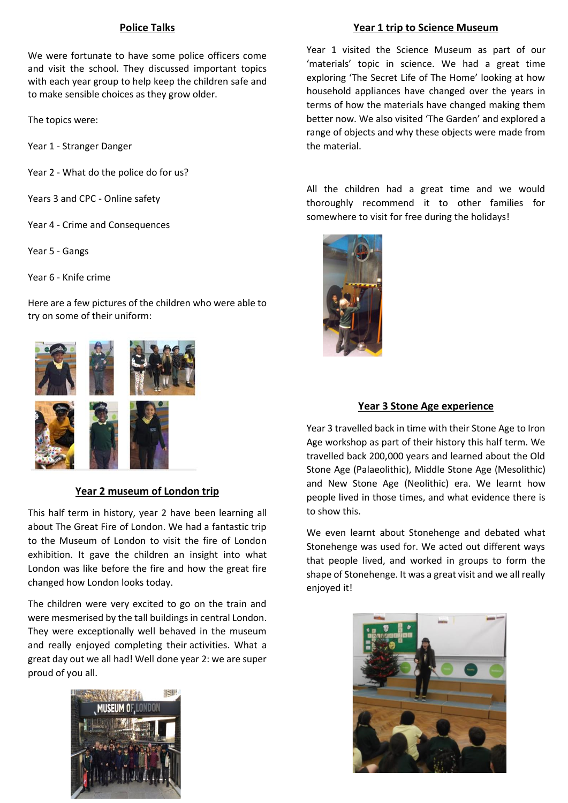# **Police Talks**

We were fortunate to have some police officers come and visit the school. They discussed important topics with each year group to help keep the children safe and to make sensible choices as they grow older.

The topics were:

Year 1 - Stranger Danger

Year 2 - What do the police do for us?

Years 3 and CPC - Online safety

Year 4 - Crime and Consequences

Year 5 - Gangs

Year 6 - Knife crime

Here are a few pictures of the children who were able to try on some of their uniform:





# **Year 2 museum of London trip**

This half term in history, year 2 have been learning all about The Great Fire of London. We had a fantastic trip to the Museum of London to visit the fire of London exhibition. It gave the children an insight into what London was like before the fire and how the great fire changed how London looks today.

The children were very excited to go on the train and were mesmerised by the tall buildings in central London. They were exceptionally well behaved in the museum and really enjoyed completing their activities. What a great day out we all had! Well done year 2: we are super proud of you all.



# **Year 1 trip to Science Museum**

Year 1 visited the Science Museum as part of our 'materials' topic in science. We had a great time exploring 'The Secret Life of The Home' looking at how household appliances have changed over the years in terms of how the materials have changed making them better now. We also visited 'The Garden' and explored a range of objects and why these objects were made from the material.

All the children had a great time and we would thoroughly recommend it to other families for somewhere to visit for free during the holidays!



# **Year 3 Stone Age experience**

Year 3 travelled back in time with their Stone Age to Iron Age workshop as part of their history this half term. We travelled back 200,000 years and learned about the Old Stone Age (Palaeolithic), Middle Stone Age (Mesolithic) and New Stone Age (Neolithic) era. We learnt how people lived in those times, and what evidence there is to show this.

We even learnt about Stonehenge and debated what Stonehenge was used for. We acted out different ways that people lived, and worked in groups to form the shape of Stonehenge. It was a great visit and we all really enjoyed it!